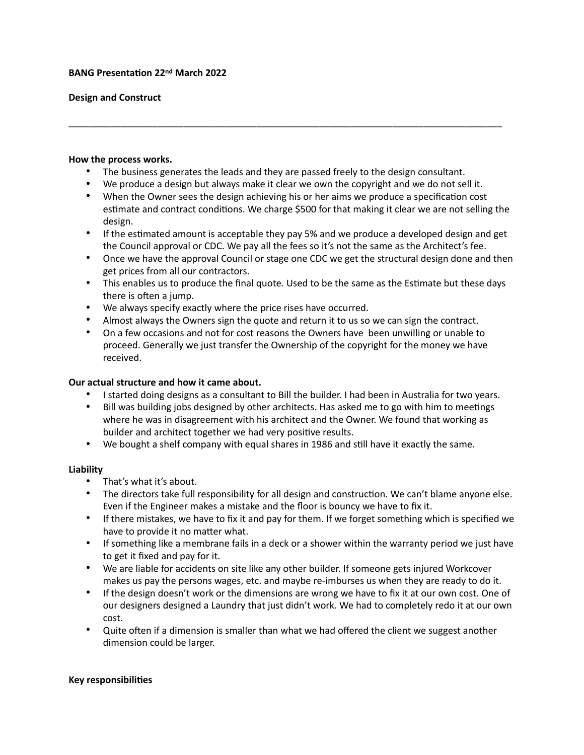#### **BANG Presentation 22nd March 2022**

### **Design and Construct**

#### **How the process works.**

- The business generates the leads and they are passed freely to the design consultant.
- We produce a design but always make it clear we own the copyright and we do not sell it.

\_\_\_\_\_\_\_\_\_\_\_\_\_\_\_\_\_\_\_\_\_\_\_\_\_\_\_\_\_\_\_\_\_\_\_\_\_\_\_\_\_\_\_\_\_\_\_\_\_\_\_\_\_\_\_\_\_\_\_\_\_\_\_\_\_\_\_\_\_\_\_\_\_\_\_\_\_\_\_\_\_\_\_

- When the Owner sees the design achieving his or her aims we produce a specification cost estimate and contract conditions. We charge \$500 for that making it clear we are not selling the design.
- If the estimated amount is acceptable they pay 5% and we produce a developed design and get the Council approval or CDC. We pay all the fees so it's not the same as the Architect's fee.
- Once we have the approval Council or stage one CDC we get the structural design done and then get prices from all our contractors.
- This enables us to produce the final quote. Used to be the same as the Estimate but these days there is often a jump.
- We always specify exactly where the price rises have occurred.
- Almost always the Owners sign the quote and return it to us so we can sign the contract.
- On a few occasions and not for cost reasons the Owners have been unwilling or unable to proceed. Generally we just transfer the Ownership of the copyright for the money we have received.

## **Our actual structure and how it came about.**

- I started doing designs as a consultant to Bill the builder. I had been in Australia for two years.
- Bill was building jobs designed by other architects. Has asked me to go with him to meetings where he was in disagreement with his architect and the Owner. We found that working as builder and architect together we had very positive results.
- We bought a shelf company with equal shares in 1986 and still have it exactly the same.

#### **Liability**

- That's what it's about.
- The directors take full responsibility for all design and construction. We can't blame anyone else. Even if the Engineer makes a mistake and the floor is bouncy we have to fix it.
- If there mistakes, we have to fix it and pay for them. If we forget something which is specified we have to provide it no matter what.
- If something like a membrane fails in a deck or a shower within the warranty period we just have to get it fixed and pay for it.
- We are liable for accidents on site like any other builder. If someone gets injured Workcover makes us pay the persons wages, etc. and maybe re-imburses us when they are ready to do it.
- If the design doesn't work or the dimensions are wrong we have to fix it at our own cost. One of our designers designed a Laundry that just didn't work. We had to completely redo it at our own cost.
- Quite often if a dimension is smaller than what we had offered the client we suggest another dimension could be larger.

#### **Key responsibilities**